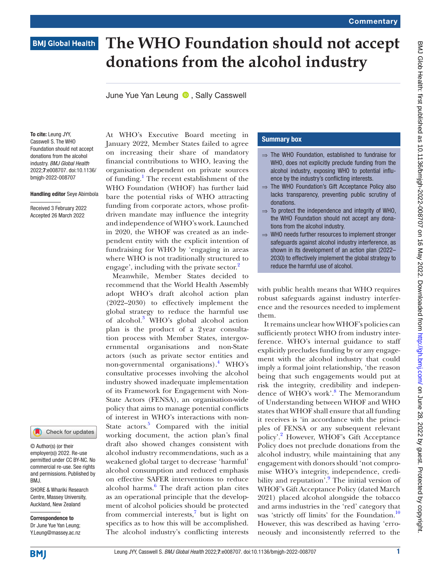## **BMJ Global Health**

# **The WHO Foundation should not accept donations from the alcohol industry**

June Yue Yan Leung **D**, Sally Casswell

To cite: Leung JYY, Casswell S. The WHO Foundation should not accept donations from the alcohol industry. *BMJ Global Health* 2022;7:e008707. doi:10.1136/ bmjgh-2022-008707

#### Handling editor Seye Abimbola

Received 3 February 2022 Accepted 26 March 2022



© Author(s) (or their employer(s)) 2022. Re-use permitted under CC BY-NC. No commercial re-use. See rights and permissions. Published by BMJ.

SHORE & Whariki Research Centre, Massey University, Auckland, New Zealand

Correspondence to Dr June Yue Yan Leung; Y.Leung@massey.ac.nz At WHO's Executive Board meeting in January 2022, Member States failed to agree on increasing their share of mandatory financial contributions to WHO, leaving the organisation dependent on private sources of funding.<sup>[1](#page-1-0)</sup> The recent establishment of the WHO Foundation (WHOF) has further laid bare the potential risks of WHO attracting funding from corporate actors, whose profitdriven mandate may influence the integrity and independence of WHO's work. Launched in 2020, the WHOF was created as an independent entity with the explicit intention of fundraising for WHO by 'engaging in areas where WHO is not traditionally structured to engage', including with the private sector.<sup>[2](#page-1-1)</sup>

Meanwhile, Member States decided to recommend that the World Health Assembly adopt WHO's draft alcohol action plan (2022–2030) to effectively implement the global strategy to reduce the harmful use of alcohol.<sup>[3](#page-1-2)</sup> WHO's global alcohol action plan is the product of a 2year consultation process with Member States, intergovernmental organisations and non-State actors (such as private sector entities and non-governmental organisations).<sup>[4](#page-1-3)</sup> WHO's consultative processes involving the alcohol industry showed inadequate implementation of its Framework for Engagement with Non-State Actors (FENSA), an organisation-wide policy that aims to manage potential conflicts of interest in WHO's interactions with non-State actors.<sup>5</sup> Compared with the initial working document, the action plan's final draft also showed changes consistent with alcohol industry recommendations, such as a weakened global target to decrease 'harmful' alcohol consumption and reduced emphasis on effective SAFER interventions to reduce alcohol harms.<sup>[6](#page-1-5)</sup> The draft action plan cites as an operational principle that the development of alcohol policies should be protected from commercial interests, $\frac{7}{1}$  $\frac{7}{1}$  $\frac{7}{1}$  but is light on specifics as to how this will be accomplished. The alcohol industry's conflicting interests

### Summary box

- ⇒ The WHO Foundation, established to fundraise for WHO, does not explicitly preclude funding from the alcohol industry, exposing WHO to potential influence by the industry's conflicting interests.
- ⇒ The WHO Foundation's Gift Acceptance Policy also lacks transparency, preventing public scrutiny of donations.
- $\Rightarrow$  To protect the independence and integrity of WHO, the WHO Foundation should not accept any donations from the alcohol industry.
- $\Rightarrow$  WHO needs further resources to implement stronger safeguards against alcohol industry interference, as shown in its development of an action plan (2022– 2030) to effectively implement the global strategy to reduce the harmful use of alcohol.

with public health means that WHO requires robust safeguards against industry interference and the resources needed to implement them.

It remains unclear how WHOF's policies can sufficiently protect WHO from industry interference. WHO's internal guidance to staff explicitly precludes funding by or any engagement with the alcohol industry that could imply a formal joint relationship, 'the reason being that such engagements would put at risk the integrity, credibility and independence of WHO's work'.<sup>8</sup> The Memorandum of Understanding between WHOF and WHO states that WHOF shall ensure that all funding it receives is 'in accordance with the principles of FENSA or any subsequent relevant policy'.<sup>[2](#page-1-1)</sup> However, WHOF's Gift Acceptance Policy does not preclude donations from the alcohol industry, while maintaining that any engagement with donors should 'not compromise WHO's integrity, independence, credibility and reputation<sup>'.</sup> The initial version of WHOF's Gift Acceptance Policy (dated March 2021) placed alcohol alongside the tobacco and arms industries in the 'red' category that was 'strictly off limits' for the Foundation.<sup>10</sup> However, this was described as having 'erroneously and inconsistently referred to the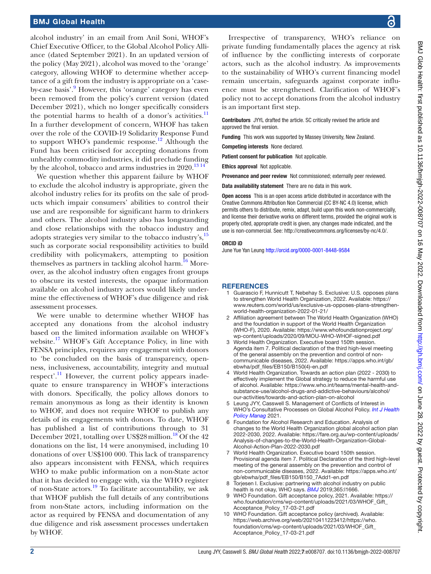### BMJ Global Health

alcohol industry' in an email from Anil Soni, WHOF's Chief Executive Officer, to the Global Alcohol Policy Alliance (dated September 2021). In an updated version of the policy (May 2021), alcohol was moved to the 'orange' category, allowing WHOF to determine whether acceptance of a gift from the industry is appropriate on a 'caseby-case basis'.<sup>9</sup> However, this 'orange' category has even been removed from the policy's current version (dated December 2021), which no longer specifically considers the potential harms to health of a donor's activities. $<sup>11</sup>$  $<sup>11</sup>$  $<sup>11</sup>$ </sup> In a further development of concern, WHOF has taken over the role of the COVID-19 Solidarity Response Fund to support WHO's pandemic response.<sup>12</sup> Although the Fund has been criticised for accepting donations from unhealthy commodity industries, it did preclude funding by the alcohol, tobacco and arms industries in  $2020$ .<sup>[13 14](#page-2-2)</sup>

We question whether this apparent failure by WHOF to exclude the alcohol industry is appropriate, given the alcohol industry relies for its profits on the sale of products which impair consumers' abilities to control their use and are responsible for significant harm to drinkers and others. The alcohol industry also has longstanding and close relationships with the tobacco industry and adopts strategies very similar to the tobacco industry's[,15](#page-2-3) such as corporate social responsibility activities to build credibility with policymakers, attempting to position themselves as partners in tackling alcohol harm.<sup>16</sup> Moreover, as the alcohol industry often engages front groups to obscure its vested interests, the opaque information available on alcohol industry actors would likely undermine the effectiveness of WHOF's due diligence and risk assessment processes.

We were unable to determine whether WHOF has accepted any donations from the alcohol industry based on the limited information available on WHOF's website.<sup>[17](#page-2-5)</sup> WHOF's Gift Acceptance Policy, in line with FENSA principles, requires any engagement with donors to 'be concluded on the basis of transparency, openness, inclusiveness, accountability, integrity and mutual respect'.<sup>11</sup> However, the current policy appears inadequate to ensure transparency in WHOF's interactions with donors. Specifically, the policy allows donors to remain anonymous as long as their identity is known to WHOF, and does not require WHOF to publish any details of its engagements with donors. To date, WHOF has published a list of contributions through to 31 December 2021, totalling over US\$28 million.<sup>18</sup> Of the 42 donations on the list, 14 were anonymised, including 10 donations of over US\$100 000. This lack of transparency also appears inconsistent with FENSA, which requires WHO to make public information on a non-State actor that it has decided to engage with, via the WHO register of non-State actors.[19](#page-2-7) To facilitate accountability, we ask that WHOF publish the full details of any contributions from non-State actors, including information on the actor as required by FENSA and documentation of any due diligence and risk assessment processes undertaken by WHOF.

Irrespective of transparency, WHO's reliance on private funding fundamentally places the agency at risk of influence by the conflicting interests of corporate actors, such as the alcohol industry. As improvements to the sustainability of WHO's current financing model remain uncertain, safeguards against corporate influence must be strengthened. Clarification of WHOF's policy not to accept donations from the alcohol industry is an important first step.

Contributors JYYL drafted the article. SC critically revised the article and approved the final version.

Funding This work was supported by Massey University, New Zealand.

Competing interests None declared.

Patient consent for publication Not applicable.

Ethics approval Not applicable.

Provenance and peer review Not commissioned; externally peer reviewed.

Data availability statement There are no data in this work.

Open access This is an open access article distributed in accordance with the Creative Commons Attribution Non Commercial (CC BY-NC 4.0) license, which permits others to distribute, remix, adapt, build upon this work non-commercially, and license their derivative works on different terms, provided the original work is properly cited, appropriate credit is given, any changes made indicated, and the use is non-commercial. See:<http://creativecommons.org/licenses/by-nc/4.0/>.

#### ORCID iD

June Yue Yan Leung<http://orcid.org/0000-0001-8448-9584>

#### <span id="page-1-0"></span>**REFERENCES**

- 1 Guarascio F, Hunnicutt T, Nebehay S. Exclusive: U.S. opposes plans to strengthen World Health Organization, 2022. Available: [https://](https://www.reuters.com/world/us/exclusive-us-opposes-plans-strengthen-world-health-organization-2022-01-21/) [www.reuters.com/world/us/exclusive-us-opposes-plans-strengthen](https://www.reuters.com/world/us/exclusive-us-opposes-plans-strengthen-world-health-organization-2022-01-21/)[world-health-organization-2022-01-21/](https://www.reuters.com/world/us/exclusive-us-opposes-plans-strengthen-world-health-organization-2022-01-21/)
- <span id="page-1-1"></span>2 Affiliation agreement between The World Health Organization (WHO) and the foundation in support of the World Health Organization (WHO-F), 2020. Available: [https://www.whofoundationproject.org/](https://www.whofoundationproject.org/wp-content/uploads/2020/09/MOU-WHO-WHOF-signed.pdf) [wp-content/uploads/2020/09/MOU-WHO-WHOF-signed.pdf](https://www.whofoundationproject.org/wp-content/uploads/2020/09/MOU-WHO-WHOF-signed.pdf)
- <span id="page-1-2"></span>World Health Organization. Executive board 150th session. Agenda item 7. Political declaration of the third high-level meeting of the general assembly on the prevention and control of noncommunicable diseases, 2022. Available: [https://apps.who.int/gb/](https://apps.who.int/gb/ebwha/pdf_files/EB150/B150(4)-en.pdf) [ebwha/pdf\\_files/EB150/B150\(4\)-en.pdf](https://apps.who.int/gb/ebwha/pdf_files/EB150/B150(4)-en.pdf)
- <span id="page-1-3"></span>4 World Health Organization. Towards an action plan (2022 - 2030) to effectively implement the Global strategy to reduce the harmful use of alcohol. Available: [https://www.who.int/teams/mental-health-and](https://www.who.int/teams/mental-health-and-substance-use/alcohol-drugs-and-addictive-behaviours/alcohol/our-activities/towards-and-action-plan-on-alcohol)[substance-use/alcohol-drugs-and-addictive-behaviours/alcohol/](https://www.who.int/teams/mental-health-and-substance-use/alcohol-drugs-and-addictive-behaviours/alcohol/our-activities/towards-and-action-plan-on-alcohol) [our-activities/towards-and-action-plan-on-alcohol](https://www.who.int/teams/mental-health-and-substance-use/alcohol-drugs-and-addictive-behaviours/alcohol/our-activities/towards-and-action-plan-on-alcohol)
- <span id="page-1-4"></span>Leung JYY, Casswell S. Management of Conflicts of Interest in WHO's Consultative Processes on Global Alcohol Policy. *[Int J Health](http://dx.doi.org/10.34172/ijhpm.2021.139)  [Policy Manag](http://dx.doi.org/10.34172/ijhpm.2021.139)* 2021.
- <span id="page-1-5"></span>6 Foundation for Alcohol Research and Education. Analysis of changes to the World Health Organization global alcohol action plan 2022-2030, 2022. Available: [https://fare.org.au/wp-content/uploads/](https://fare.org.au/wp-content/uploads/Analysis-of-changes-to-the-World-Health-Organization-Global-Alcohol-Action-Plan-2022-2030.pdf) [Analysis-of-changes-to-the-World-Health-Organization-Global-](https://fare.org.au/wp-content/uploads/Analysis-of-changes-to-the-World-Health-Organization-Global-Alcohol-Action-Plan-2022-2030.pdf)[Alcohol-Action-Plan-2022-2030.pdf](https://fare.org.au/wp-content/uploads/Analysis-of-changes-to-the-World-Health-Organization-Global-Alcohol-Action-Plan-2022-2030.pdf)
- <span id="page-1-6"></span>7 World Health Organization. Executive board 150th session. Provisional agenda item 7. Political Declaration of the third high-level meeting of the general assembly on the prevention and control of non-communicable diseases, 2022. Available: [https://apps.who.int/](https://apps.who.int/gb/ebwha/pdf_files/EB150/B150_7Add1-en.pdf) [gb/ebwha/pdf\\_files/EB150/B150\\_7Add1-en.pdf](https://apps.who.int/gb/ebwha/pdf_files/EB150/B150_7Add1-en.pdf)
- <span id="page-1-7"></span>8 Torjesen I. Exclusive: partnering with alcohol industry on public health is not okay, WHO says. *[BMJ](http://dx.doi.org/10.1136/bmj.l1666)* 2019;365:l1666.
- <span id="page-1-8"></span>9 WHO Foundation. Gift acceptance policy, 2021. Available: [https://](https://who.foundation/cms/wp-content/uploads/2021/03/WHOF_Gift_Acceptance_Policy_17-03-21.pdf) [who.foundation/cms/wp-content/uploads/2021/03/WHOF\\_Gift\\_](https://who.foundation/cms/wp-content/uploads/2021/03/WHOF_Gift_Acceptance_Policy_17-03-21.pdf) [Acceptance\\_Policy\\_17-03-21.pdf](https://who.foundation/cms/wp-content/uploads/2021/03/WHOF_Gift_Acceptance_Policy_17-03-21.pdf)
- <span id="page-1-9"></span>10 WHO Foundation. Gift acceptance policy (archived). Available: [https://web.archive.org/web/20210411223412/https://who.](https://web.archive.org/web/20210411223412/https://who.foundation/cms/wp-content/uploads/2021/03/WHOF_Gift_Acceptance_Policy_17-03-21.pdf) [foundation/cms/wp-content/uploads/2021/03/WHOF\\_Gift\\_](https://web.archive.org/web/20210411223412/https://who.foundation/cms/wp-content/uploads/2021/03/WHOF_Gift_Acceptance_Policy_17-03-21.pdf) [Acceptance\\_Policy\\_17-03-21.pdf](https://web.archive.org/web/20210411223412/https://who.foundation/cms/wp-content/uploads/2021/03/WHOF_Gift_Acceptance_Policy_17-03-21.pdf)